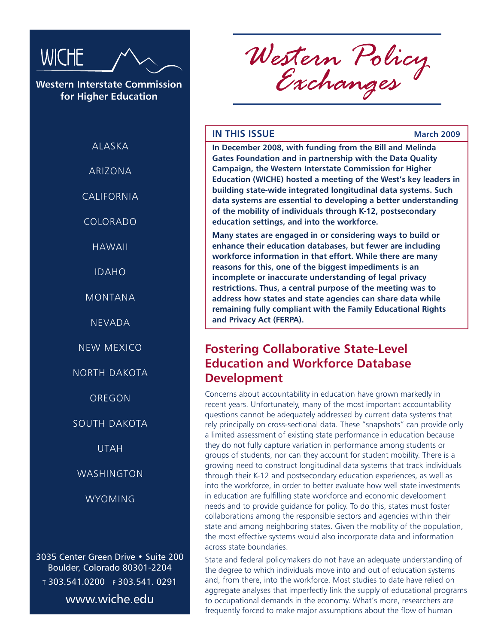

**Western Interstate Commission for Higher Education**

ALASKA

ARIZONA

CALIFORNIA

COLORADO

HAWAII

IDAHO

MONTANA

NEVADA

NEW MEXICO

NORTH DAKOTA

OREGON

SOUTH DAKOTA

UTAH

WASHINGTON

WYOMING

3035 Center Green Drive • Suite 200 Boulder, Colorado 80301-2204 <sup>t</sup> 303.541.0200 f 303.541. 0291 www.wiche.edu

*Western Policy Exchanges*

### **IN THIS ISSUE March 2009**

**In December 2008, with funding from the Bill and Melinda Gates Foundation and in partnership with the Data Quality Campaign, the Western Interstate Commission for Higher Education (WICHE) hosted a meeting of the West's key leaders in building state-wide integrated longitudinal data systems. Such data systems are essential to developing a better understanding of the mobility of individuals through K-12, postsecondary education settings, and into the workforce.**

**Many states are engaged in or considering ways to build or enhance their education databases, but fewer are including workforce information in that effort. While there are many reasons for this, one of the biggest impediments is an incomplete or inaccurate understanding of legal privacy restrictions. Thus, a central purpose of the meeting was to address how states and state agencies can share data while remaining fully compliant with the Family Educational Rights and Privacy Act (FERPA).**

## **Fostering Collaborative State-Level Education and Workforce Database Development**

Concerns about accountability in education have grown markedly in recent years. Unfortunately, many of the most important accountability questions cannot be adequately addressed by current data systems that rely principally on cross-sectional data. These "snapshots" can provide only a limited assessment of existing state performance in education because they do not fully capture variation in performance among students or groups of students, nor can they account for student mobility. There is a growing need to construct longitudinal data systems that track individuals through their K-12 and postsecondary education experiences, as well as into the workforce, in order to better evaluate how well state investments in education are fulfilling state workforce and economic development needs and to provide guidance for policy. To do this, states must foster collaborations among the responsible sectors and agencies within their state and among neighboring states. Given the mobility of the population, the most effective systems would also incorporate data and information across state boundaries.

State and federal policymakers do not have an adequate understanding of the degree to which individuals move into and out of education systems and, from there, into the workforce. Most studies to date have relied on aggregate analyses that imperfectly link the supply of educational programs to occupational demands in the economy. What's more, researchers are frequently forced to make major assumptions about the flow of human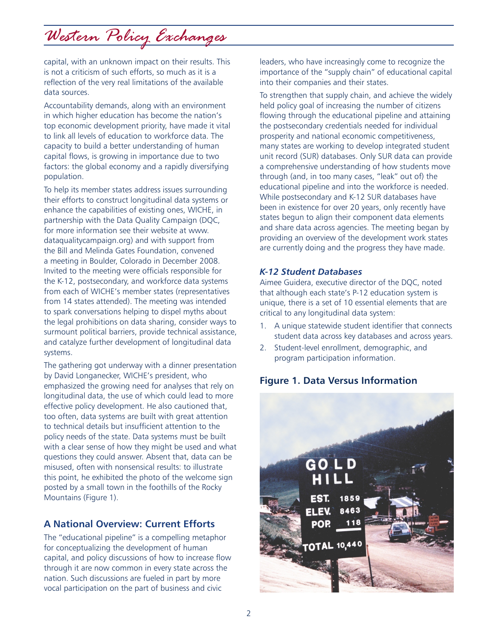# *Western Policy Exchanges*

capital, with an unknown impact on their results. This is not a criticism of such efforts, so much as it is a reflection of the very real limitations of the available data sources.

Accountability demands, along with an environment in which higher education has become the nation's top economic development priority, have made it vital to link all levels of education to workforce data. The capacity to build a better understanding of human capital flows, is growing in importance due to two factors: the global economy and a rapidly diversifying population.

To help its member states address issues surrounding their efforts to construct longitudinal data systems or enhance the capabilities of existing ones, WICHE, in partnership with the Data Quality Campaign (DQC, for more information see their website at www. dataqualitycampaign.org) and with support from the Bill and Melinda Gates Foundation, convened a meeting in Boulder, Colorado in December 2008. Invited to the meeting were officials responsible for the K-12, postsecondary, and workforce data systems from each of WICHE's member states (representatives from 14 states attended). The meeting was intended to spark conversations helping to dispel myths about the legal prohibitions on data sharing, consider ways to surmount political barriers, provide technical assistance, and catalyze further development of longitudinal data systems.

The gathering got underway with a dinner presentation by David Longanecker, WICHE's president, who emphasized the growing need for analyses that rely on longitudinal data, the use of which could lead to more effective policy development. He also cautioned that, too often, data systems are built with great attention to technical details but insufficient attention to the policy needs of the state. Data systems must be built with a clear sense of how they might be used and what questions they could answer. Absent that, data can be misused, often with nonsensical results: to illustrate this point, he exhibited the photo of the welcome sign posted by a small town in the foothills of the Rocky Mountains (Figure 1).

## **A National Overview: Current Efforts**

The "educational pipeline" is a compelling metaphor for conceptualizing the development of human capital, and policy discussions of how to increase flow through it are now common in every state across the nation. Such discussions are fueled in part by more vocal participation on the part of business and civic

leaders, who have increasingly come to recognize the importance of the "supply chain" of educational capital into their companies and their states.

To strengthen that supply chain, and achieve the widely held policy goal of increasing the number of citizens flowing through the educational pipeline and attaining the postsecondary credentials needed for individual prosperity and national economic competitiveness, many states are working to develop integrated student unit record (SUR) databases. Only SUR data can provide a comprehensive understanding of how students move through (and, in too many cases, "leak" out of) the educational pipeline and into the workforce is needed. While postsecondary and K-12 SUR databases have been in existence for over 20 years, only recently have states begun to align their component data elements and share data across agencies. The meeting began by providing an overview of the development work states are currently doing and the progress they have made.

### *K-12 Student Databases*

Aimee Guidera, executive director of the DQC, noted that although each state's P-12 education system is unique, there is a set of 10 essential elements that are critical to any longitudinal data system:

- 1. A unique statewide student identifier that connects student data across key databases and across years.
- 2. Student-level enrollment, demographic, and program participation information.

## **Figure 1. Data Versus Information**

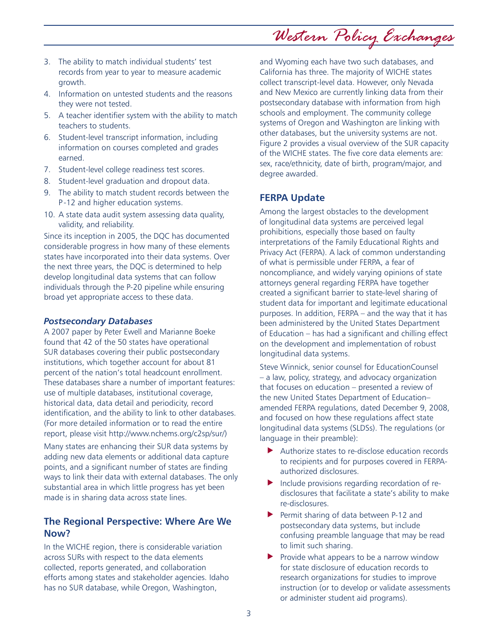- 3. The ability to match individual students' test records from year to year to measure academic growth.
- 4. Information on untested students and the reasons they were not tested.
- 5. A teacher identifier system with the ability to match teachers to students.
- 6. Student-level transcript information, including information on courses completed and grades earned.
- 7. Student-level college readiness test scores.
- 8. Student-level graduation and dropout data.
- 9. The ability to match student records between the P -12 and higher education systems.
- 10. A state data audit system assessing data quality, validity, and reliability.

Since its inception in 2005, the DQC has documented considerable progress in how many of these elements states have incorporated into their data systems. Over the next three years, the DQC is determined to help develop longitudinal data systems that can follow individuals through the P-20 pipeline while ensuring broad yet appropriate access to these data.

### *Postsecondary Databases*

A 2007 paper by Peter Ewell and Marianne Boeke found that 42 of the 50 states have operational SUR databases covering their public postsecondary institutions, which together account for about 81 percent of the nation's total headcount enrollment. These databases share a number of important features: use of multiple databases, institutional coverage, historical data, data detail and periodicity, record identification, and the ability to link to other databases. (For more detailed information or to read the entire report, please visit http://www.nchems.org/c2sp/sur/)

Many states are enhancing their SUR data systems by adding new data elements or additional data capture points, and a significant number of states are finding ways to link their data with external databases. The only substantial area in which little progress has yet been made is in sharing data across state lines.

### **The Regional Perspective: Where Are We Now?**

In the WICHE region, there is considerable variation across SURs with respect to the data elements collected, reports generated, and collaboration efforts among states and stakeholder agencies. Idaho has no SUR database, while Oregon, Washington,

and Wyoming each have two such databases, and California has three. The majority of WICHE states collect transcript-level data. However, only Nevada and New Mexico are currently linking data from their postsecondary database with information from high schools and employment. The community college systems of Oregon and Washington are linking with other databases, but the university systems are not. Figure 2 provides a visual overview of the SUR capacity of the WICHE states. The five core data elements are: sex, race/ethnicity, date of birth, program/major, and degree awarded.

*Western Policy Exchanges*

## **FERPA Update**

Among the largest obstacles to the development of longitudinal data systems are perceived legal prohibitions, especially those based on faulty interpretations of the Family Educational Rights and Privacy Act (FERPA). A lack of common understanding of what is permissible under FERPA, a fear of noncompliance, and widely varying opinions of state attorneys general regarding FERPA have together created a significant barrier to state-level sharing of student data for important and legitimate educational purposes. In addition, FERPA – and the way that it has been administered by the United States Department of Education – has had a significant and chilling effect on the development and implementation of robust longitudinal data systems.

Steve Winnick, senior counsel for EducationCounsel – a law, policy, strategy, and advocacy organization that focuses on education – presented a review of the new United States Department of Education– amended FERPA regulations, dated December 9, 2008, and focused on how these regulations affect state longitudinal data systems (SLDSs). The regulations (or language in their preamble):

- $\blacktriangleright$  Authorize states to re-disclose education records to recipients and for purposes covered in FERPAauthorized disclosures.
- $\blacktriangleright$  Include provisions regarding recordation of redisclosures that facilitate a state's ability to make re-disclosures.
- $\blacktriangleright$  Permit sharing of data between P-12 and postsecondary data systems, but include confusing preamble language that may be read to limit such sharing.
- $\blacktriangleright$  Provide what appears to be a narrow window for state disclosure of education records to research organizations for studies to improve instruction (or to develop or validate assessments or administer student aid programs).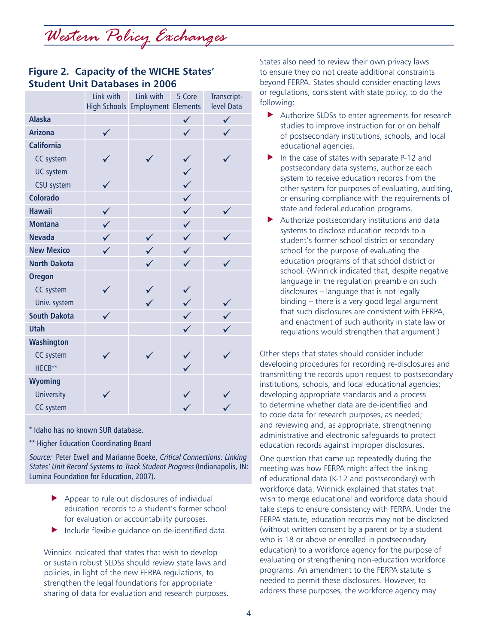*Western Policy Exchanges*

## **Figure 2. Capacity of the WICHE States' Student Unit Databases in 2006**

|                     | Link with    | Link with<br><b>High Schools Employment Elements</b> | 5 Core       | Transcript-<br>level Data |
|---------------------|--------------|------------------------------------------------------|--------------|---------------------------|
| <b>Alaska</b>       |              |                                                      | $\checkmark$ |                           |
| <b>Arizona</b>      |              |                                                      |              |                           |
| <b>California</b>   |              |                                                      |              |                           |
| <b>CC system</b>    |              |                                                      |              |                           |
| <b>UC system</b>    |              |                                                      |              |                           |
| <b>CSU</b> system   |              |                                                      |              |                           |
| <b>Colorado</b>     |              |                                                      |              |                           |
| <b>Hawaii</b>       |              |                                                      | $\checkmark$ |                           |
| <b>Montana</b>      | $\checkmark$ |                                                      | $\checkmark$ |                           |
| <b>Nevada</b>       | $\checkmark$ | $\checkmark$                                         | $\checkmark$ |                           |
| <b>New Mexico</b>   | $\checkmark$ | $\checkmark$                                         |              |                           |
| <b>North Dakota</b> |              |                                                      | $\checkmark$ |                           |
| <b>Oregon</b>       |              |                                                      |              |                           |
| <b>CC system</b>    |              |                                                      |              |                           |
| Univ. system        |              |                                                      |              |                           |
| <b>South Dakota</b> | $\checkmark$ |                                                      | $\checkmark$ | $\checkmark$              |
| <b>Utah</b>         |              |                                                      |              |                           |
| <b>Washington</b>   |              |                                                      |              |                           |
| <b>CC system</b>    |              |                                                      |              |                           |
| HECB**              |              |                                                      |              |                           |
| <b>Wyoming</b>      |              |                                                      |              |                           |
| <b>University</b>   |              |                                                      |              |                           |
| <b>CC system</b>    |              |                                                      |              |                           |

\* Idaho has no known SUR database.

\*\* Higher Education Coordinating Board

Source: Peter Ewell and Marianne Boeke, Critical Connections: Linking States' Unit Record Systems to Track Student Progress (Indianapolis, IN: Lumina Foundation for Education, 2007).

- $\blacktriangleright$  Appear to rule out disclosures of individual education records to a student's former school for evaluation or accountability purposes.
- $\blacktriangleright$  Include flexible guidance on de-identified data.

Winnick indicated that states that wish to develop or sustain robust SLDSs should review state laws and policies, in light of the new FERPA regulations, to strengthen the legal foundations for appropriate sharing of data for evaluation and research purposes.

States also need to review their own privacy laws to ensure they do not create additional constraints beyond FERPA. States should consider enacting laws or regulations, consistent with state policy, to do the following:

- $\blacktriangleright$  Authorize SLDSs to enter agreements for research studies to improve instruction for or on behalf of postsecondary institutions, schools, and local educational agencies.
- $\blacktriangleright$  In the case of states with separate P-12 and postsecondary data systems, authorize each system to receive education records from the other system for purposes of evaluating, auditing, or ensuring compliance with the requirements of state and federal education programs.
- $\blacktriangleright$  Authorize postsecondary institutions and data systems to disclose education records to a student's former school district or secondary school for the purpose of evaluating the education programs of that school district or school. (Winnick indicated that, despite negative language in the regulation preamble on such disclosures – language that is not legally binding – there is a very good legal argument that such disclosures are consistent with FERPA, and enactment of such authority in state law or regulations would strengthen that argument.)

Other steps that states should consider include: developing procedures for recording re-disclosures and transmitting the records upon request to postsecondary institutions, schools, and local educational agencies; developing appropriate standards and a process to determine whether data are de-identified and to code data for research purposes, as needed; and reviewing and, as appropriate, strengthening administrative and electronic safeguards to protect education records against improper disclosures.

One question that came up repeatedly during the meeting was how FERPA might affect the linking of educational data (K-12 and postsecondary) with workforce data. Winnick explained that states that wish to merge educational and workforce data should take steps to ensure consistency with FERPA. Under the FERPA statute, education records may not be disclosed (without written consent by a parent or by a student who is 18 or above or enrolled in postsecondary education) to a workforce agency for the purpose of evaluating or strengthening non-education workforce programs. An amendment to the FERPA statute is needed to permit these disclosures. However, to address these purposes, the workforce agency may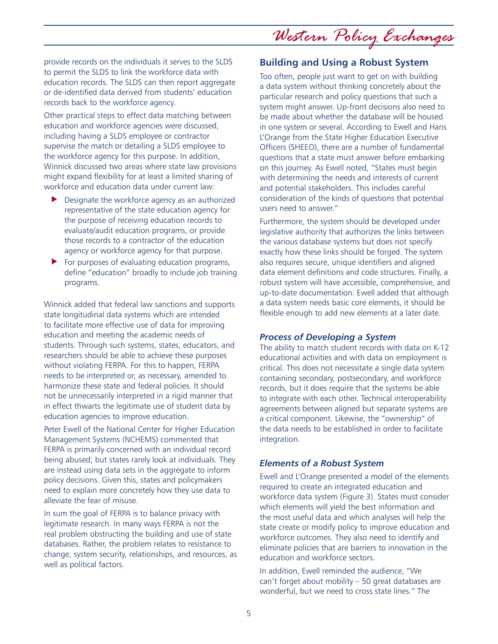*Western Policy Exchanges*

provide records on the individuals it serves to the SLDS to permit the SLDS to link the workforce data with education records. The SLDS can then report aggregate or de-identified data derived from students' education records back to the workforce agency.

Other practical steps to effect data matching between education and workforce agencies were discussed, including having a SLDS employee or contractor supervise the match or detailing a SLDS employee to the workforce agency for this purpose. In addition, Winnick discussed two areas where state law provisions might expand flexibility for at least a limited sharing of workforce and education data under current law:

- $\blacktriangleright$  Designate the workforce agency as an authorized representative of the state education agency for the purpose of receiving education records to evaluate/audit education programs, or provide those records to a contractor of the education agency or workforce agency for that purpose.
- $\blacktriangleright$  For purposes of evaluating education programs, define "education" broadly to include job training programs.

Winnick added that federal law sanctions and supports state longitudinal data systems which are intended to facilitate more effective use of data for improving education and meeting the academic needs of students. Through such systems, states, educators, and researchers should be able to achieve these purposes without violating FERPA. For this to happen, FERPA needs to be interpreted or, as necessary, amended to harmonize these state and federal policies. It should not be unnecessarily interpreted in a rigid manner that in effect thwarts the legitimate use of student data by education agencies to improve education.

Peter Ewell of the National Center for Higher Education Management Systems (NCHEMS) commented that FERPA is primarily concerned with an individual record being abused; but states rarely look at individuals. They are instead using data sets in the aggregate to inform policy decisions. Given this, states and policymakers need to explain more concretely how they use data to alleviate the fear of misuse.

In sum the goal of FERPA is to balance privacy with legitimate research. In many ways FERPA is not the real problem obstructing the building and use of state databases. Rather, the problem relates to resistance to change, system security, relationships, and resources, as well as political factors.

## **Building and Using a Robust System**

Too often, people just want to get on with building a data system without thinking concretely about the particular research and policy questions that such a system might answer. Up-front decisions also need to be made about whether the database will be housed in one system or several. According to Ewell and Hans L'Orange from the State Higher Education Executive Officers (SHEEO), there are a number of fundamental questions that a state must answer before embarking on this journey. As Ewell noted, "States must begin with determining the needs and interests of current and potential stakeholders. This includes careful consideration of the kinds of questions that potential users need to answer."

Furthermore, the system should be developed under legislative authority that authorizes the links between the various database systems but does not specify exactly how these links should be forged. The system also requires secure, unique identifiers and aligned data element definitions and code structures. Finally, a robust system will have accessible, comprehensive, and up-to-date documentation. Ewell added that although a data system needs basic core elements, it should be flexible enough to add new elements at a later date.

### *Process of Developing a System*

The ability to match student records with data on K-12 educational activities and with data on employment is critical. This does not necessitate a single data system containing secondary, postsecondary, and workforce records, but it does require that the systems be able to integrate with each other. Technical interoperability agreements between aligned but separate systems are a critical component. Likewise, the "ownership" of the data needs to be established in order to facilitate integration.

### *Elements of a Robust System*

Ewell and L'Orange presented a model of the elements required to create an integrated education and workforce data system (Figure 3). States must consider which elements will yield the best information and the most useful data and which analyses will help the state create or modify policy to improve education and workforce outcomes. They also need to identify and eliminate policies that are barriers to innovation in the education and workforce sectors.

In addition, Ewell reminded the audience, "We can't forget about mobility – 50 great databases are wonderful, but we need to cross state lines." The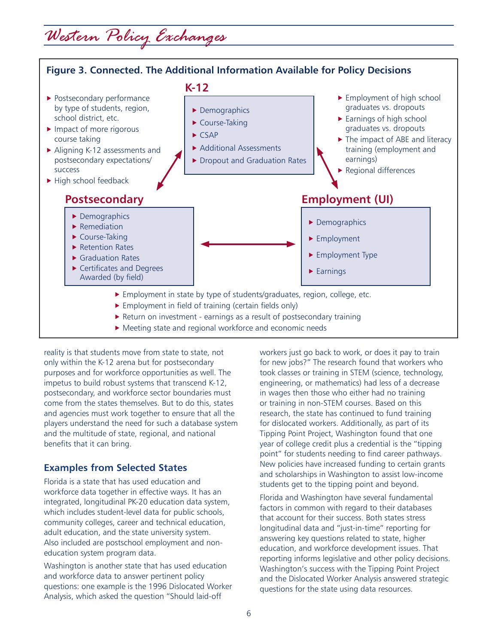## *Western Policy Exchanges*



reality is that students move from state to state, not only within the K-12 arena but for postsecondary purposes and for workforce opportunities as well. The impetus to build robust systems that transcend K-12, postsecondary, and workforce sector boundaries must come from the states themselves. But to do this, states and agencies must work together to ensure that all the players understand the need for such a database system and the multitude of state, regional, and national benefits that it can bring.

## **Examples from Selected States**

Florida is a state that has used education and workforce data together in effective ways. It has an integrated, longitudinal PK-20 education data system, which includes student-level data for public schools, community colleges, career and technical education, adult education, and the state university system. Also included are postschool employment and noneducation system program data.

Washington is another state that has used education and workforce data to answer pertinent policy questions: one example is the 1996 Dislocated Worker Analysis, which asked the question "Should laid-off

workers just go back to work, or does it pay to train for new jobs?" The research found that workers who took classes or training in STEM (science, technology, engineering, or mathematics) had less of a decrease in wages then those who either had no training or training in non-STEM courses. Based on this research, the state has continued to fund training for dislocated workers. Additionally, as part of its Tipping Point Project, Washington found that one year of college credit plus a credential is the "tipping point" for students needing to find career pathways. New policies have increased funding to certain grants and scholarships in Washington to assist low-income students get to the tipping point and beyond.

Florida and Washington have several fundamental factors in common with regard to their databases that account for their success. Both states stress longitudinal data and "just-in-time" reporting for answering key questions related to state, higher education, and workforce development issues. That reporting informs legislative and other policy decisions. Washington's success with the Tipping Point Project and the Dislocated Worker Analysis answered strategic questions for the state using data resources.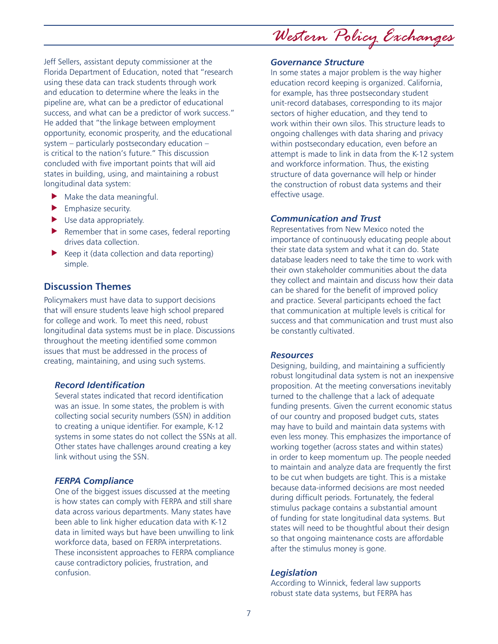*Western Policy Exchanges*

Jeff Sellers, assistant deputy commissioner at the Florida Department of Education, noted that "research using these data can track students through work and education to determine where the leaks in the pipeline are, what can be a predictor of educational success, and what can be a predictor of work success." He added that "the linkage between employment opportunity, economic prosperity, and the educational system – particularly postsecondary education – is critical to the nation's future." This discussion concluded with five important points that will aid states in building, using, and maintaining a robust longitudinal data system:

- $\blacktriangleright$  Make the data meaningful.
- $\blacktriangleright$  Emphasize security.
- $\blacktriangleright$  Use data appropriately.
- $\blacktriangleright$  Remember that in some cases, federal reporting drives data collection.
- $\blacktriangleright$  Keep it (data collection and data reporting) simple.

## **Discussion Themes**

Policymakers must have data to support decisions that will ensure students leave high school prepared for college and work. To meet this need, robust longitudinal data systems must be in place. Discussions throughout the meeting identified some common issues that must be addressed in the process of creating, maintaining, and using such systems.

## *Record Identification*

Several states indicated that record identification was an issue. In some states, the problem is with collecting social security numbers (SSN) in addition to creating a unique identifier. For example, K-12 systems in some states do not collect the SSNs at all. Other states have challenges around creating a key link without using the SSN.

### *FERPA Compliance*

One of the biggest issues discussed at the meeting is how states can comply with FERPA and still share data across various departments. Many states have been able to link higher education data with K-12 data in limited ways but have been unwilling to link workforce data, based on FERPA interpretations. These inconsistent approaches to FERPA compliance cause contradictory policies, frustration, and confusion.

### *Governance Structure*

In some states a major problem is the way higher education record keeping is organized. California, for example, has three postsecondary student unit-record databases, corresponding to its major sectors of higher education, and they tend to work within their own silos. This structure leads to ongoing challenges with data sharing and privacy within postsecondary education, even before an attempt is made to link in data from the K-12 system and workforce information. Thus, the existing structure of data governance will help or hinder the construction of robust data systems and their effective usage.

### *Communication and Trust*

Representatives from New Mexico noted the importance of continuously educating people about their state data system and what it can do. State database leaders need to take the time to work with their own stakeholder communities about the data they collect and maintain and discuss how their data can be shared for the benefit of improved policy and practice. Several participants echoed the fact that communication at multiple levels is critical for success and that communication and trust must also be constantly cultivated.

### *Resources*

Designing, building, and maintaining a sufficiently robust longitudinal data system is not an inexpensive proposition. At the meeting conversations inevitably turned to the challenge that a lack of adequate funding presents. Given the current economic status of our country and proposed budget cuts, states may have to build and maintain data systems with even less money. This emphasizes the importance of working together (across states and within states) in order to keep momentum up. The people needed to maintain and analyze data are frequently the first to be cut when budgets are tight. This is a mistake because data-informed decisions are most needed during difficult periods. Fortunately, the federal stimulus package contains a substantial amount of funding for state longitudinal data systems. But states will need to be thoughtful about their design so that ongoing maintenance costs are affordable after the stimulus money is gone.

#### *Legislation*

According to Winnick, federal law supports robust state data systems, but FERPA has